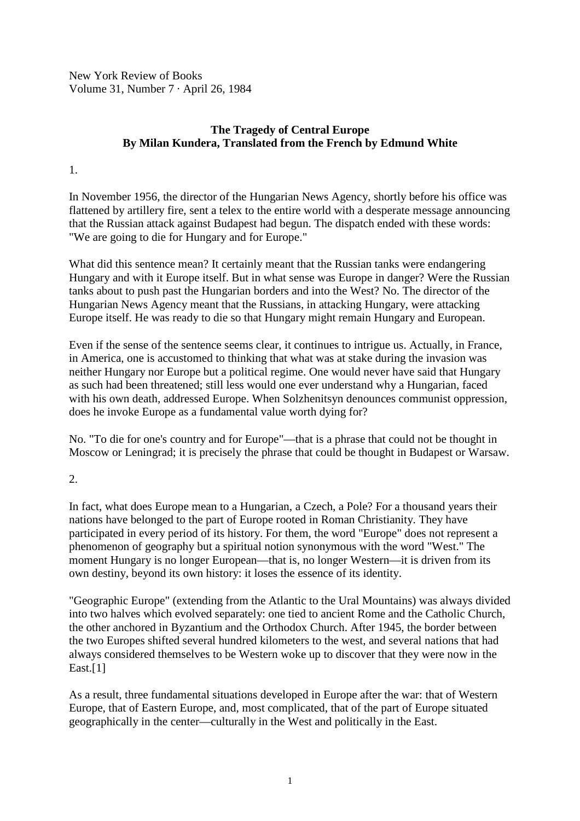New York Review of Books Volume 31, Number 7 · April 26, 1984

# **The Tragedy of Central Europe By Milan Kundera, Translated from the French by Edmund White**

1.

In November 1956, the director of the Hungarian News Agency, shortly before his office was flattened by artillery fire, sent a telex to the entire world with a desperate message announcing that the Russian attack against Budapest had begun. The dispatch ended with these words: "We are going to die for Hungary and for Europe."

What did this sentence mean? It certainly meant that the Russian tanks were endangering Hungary and with it Europe itself. But in what sense was Europe in danger? Were the Russian tanks about to push past the Hungarian borders and into the West? No. The director of the Hungarian News Agency meant that the Russians, in attacking Hungary, were attacking Europe itself. He was ready to die so that Hungary might remain Hungary and European.

Even if the sense of the sentence seems clear, it continues to intrigue us. Actually, in France, in America, one is accustomed to thinking that what was at stake during the invasion was neither Hungary nor Europe but a political regime. One would never have said that Hungary as such had been threatened; still less would one ever understand why a Hungarian, faced with his own death, addressed Europe. When Solzhenitsyn denounces communist oppression, does he invoke Europe as a fundamental value worth dying for?

No. "To die for one's country and for Europe"—that is a phrase that could not be thought in Moscow or Leningrad; it is precisely the phrase that could be thought in Budapest or Warsaw.

2.

In fact, what does Europe mean to a Hungarian, a Czech, a Pole? For a thousand years their nations have belonged to the part of Europe rooted in Roman Christianity. They have participated in every period of its history. For them, the word "Europe" does not represent a phenomenon of geography but a spiritual notion synonymous with the word "West." The moment Hungary is no longer European—that is, no longer Western—it is driven from its own destiny, beyond its own history: it loses the essence of its identity.

"Geographic Europe" (extending from the Atlantic to the Ural Mountains) was always divided into two halves which evolved separately: one tied to ancient Rome and the Catholic Church, the other anchored in Byzantium and the Orthodox Church. After 1945, the border between the two Europes shifted several hundred kilometers to the west, and several nations that had always considered themselves to be Western woke up to discover that they were now in the East.<sup>[1]</sup>

As a result, three fundamental situations developed in Europe after the war: that of Western Europe, that of Eastern Europe, and, most complicated, that of the part of Europe situated geographically in the center—culturally in the West and politically in the East.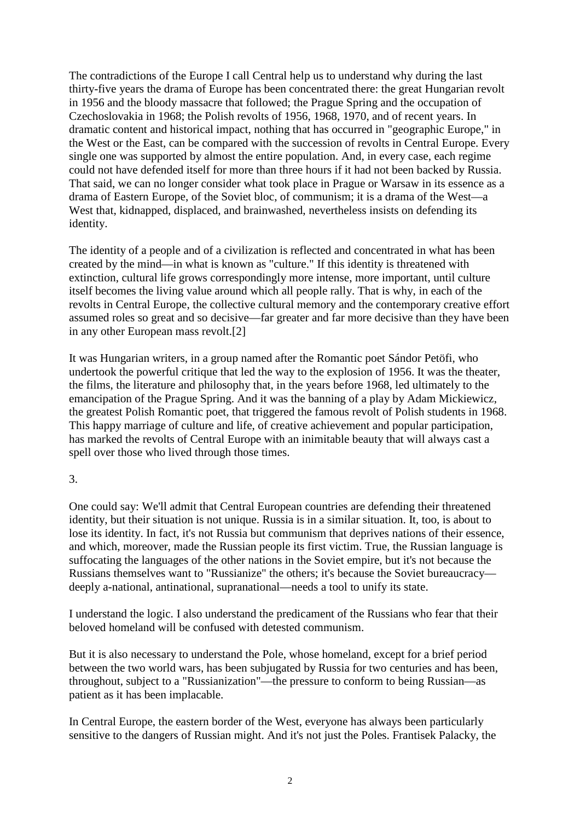The contradictions of the Europe I call Central help us to understand why during the last thirty-five years the drama of Europe has been concentrated there: the great Hungarian revolt in 1956 and the bloody massacre that followed; the Prague Spring and the occupation of Czechoslovakia in 1968; the Polish revolts of 1956, 1968, 1970, and of recent years. In dramatic content and historical impact, nothing that has occurred in "geographic Europe," in the West or the East, can be compared with the succession of revolts in Central Europe. Every single one was supported by almost the entire population. And, in every case, each regime could not have defended itself for more than three hours if it had not been backed by Russia. That said, we can no longer consider what took place in Prague or Warsaw in its essence as a drama of Eastern Europe, of the Soviet bloc, of communism; it is a drama of the West—a West that, kidnapped, displaced, and brainwashed, nevertheless insists on defending its identity.

The identity of a people and of a civilization is reflected and concentrated in what has been created by the mind—in what is known as "culture." If this identity is threatened with extinction, cultural life grows correspondingly more intense, more important, until culture itself becomes the living value around which all people rally. That is why, in each of the revolts in Central Europe, the collective cultural memory and the contemporary creative effort assumed roles so great and so decisive—far greater and far more decisive than they have been in any other European mass revolt.[2]

It was Hungarian writers, in a group named after the Romantic poet Sándor Petöfi, who undertook the powerful critique that led the way to the explosion of 1956. It was the theater, the films, the literature and philosophy that, in the years before 1968, led ultimately to the emancipation of the Prague Spring. And it was the banning of a play by Adam Mickiewicz, the greatest Polish Romantic poet, that triggered the famous revolt of Polish students in 1968. This happy marriage of culture and life, of creative achievement and popular participation, has marked the revolts of Central Europe with an inimitable beauty that will always cast a spell over those who lived through those times.

# 3.

One could say: We'll admit that Central European countries are defending their threatened identity, but their situation is not unique. Russia is in a similar situation. It, too, is about to lose its identity. In fact, it's not Russia but communism that deprives nations of their essence, and which, moreover, made the Russian people its first victim. True, the Russian language is suffocating the languages of the other nations in the Soviet empire, but it's not because the Russians themselves want to "Russianize" the others; it's because the Soviet bureaucracy deeply a-national, antinational, supranational—needs a tool to unify its state.

I understand the logic. I also understand the predicament of the Russians who fear that their beloved homeland will be confused with detested communism.

But it is also necessary to understand the Pole, whose homeland, except for a brief period between the two world wars, has been subjugated by Russia for two centuries and has been, throughout, subject to a "Russianization"—the pressure to conform to being Russian—as patient as it has been implacable.

In Central Europe, the eastern border of the West, everyone has always been particularly sensitive to the dangers of Russian might. And it's not just the Poles. Frantisek Palacky, the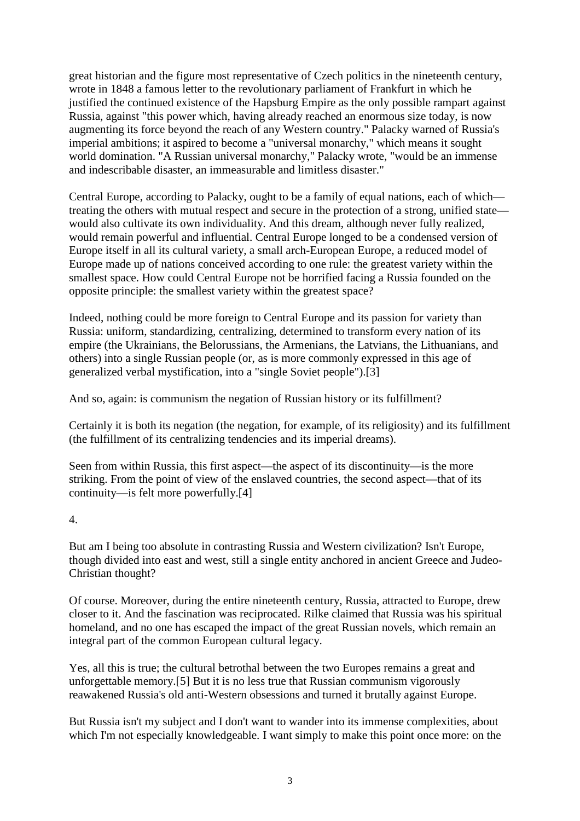great historian and the figure most representative of Czech politics in the nineteenth century, wrote in 1848 a famous letter to the revolutionary parliament of Frankfurt in which he justified the continued existence of the Hapsburg Empire as the only possible rampart against Russia, against "this power which, having already reached an enormous size today, is now augmenting its force beyond the reach of any Western country." Palacky warned of Russia's imperial ambitions; it aspired to become a "universal monarchy," which means it sought world domination. "A Russian universal monarchy," Palacky wrote, "would be an immense and indescribable disaster, an immeasurable and limitless disaster."

Central Europe, according to Palacky, ought to be a family of equal nations, each of which treating the others with mutual respect and secure in the protection of a strong, unified state would also cultivate its own individuality. And this dream, although never fully realized, would remain powerful and influential. Central Europe longed to be a condensed version of Europe itself in all its cultural variety, a small arch-European Europe, a reduced model of Europe made up of nations conceived according to one rule: the greatest variety within the smallest space. How could Central Europe not be horrified facing a Russia founded on the opposite principle: the smallest variety within the greatest space?

Indeed, nothing could be more foreign to Central Europe and its passion for variety than Russia: uniform, standardizing, centralizing, determined to transform every nation of its empire (the Ukrainians, the Belorussians, the Armenians, the Latvians, the Lithuanians, and others) into a single Russian people (or, as is more commonly expressed in this age of generalized verbal mystification, into a "single Soviet people").[3]

And so, again: is communism the negation of Russian history or its fulfillment?

Certainly it is both its negation (the negation, for example, of its religiosity) and its fulfillment (the fulfillment of its centralizing tendencies and its imperial dreams).

Seen from within Russia, this first aspect—the aspect of its discontinuity—is the more striking. From the point of view of the enslaved countries, the second aspect—that of its continuity—is felt more powerfully.[4]

#### 4.

But am I being too absolute in contrasting Russia and Western civilization? Isn't Europe, though divided into east and west, still a single entity anchored in ancient Greece and Judeo-Christian thought?

Of course. Moreover, during the entire nineteenth century, Russia, attracted to Europe, drew closer to it. And the fascination was reciprocated. Rilke claimed that Russia was his spiritual homeland, and no one has escaped the impact of the great Russian novels, which remain an integral part of the common European cultural legacy.

Yes, all this is true; the cultural betrothal between the two Europes remains a great and unforgettable memory.[5] But it is no less true that Russian communism vigorously reawakened Russia's old anti-Western obsessions and turned it brutally against Europe.

But Russia isn't my subject and I don't want to wander into its immense complexities, about which I'm not especially knowledgeable. I want simply to make this point once more: on the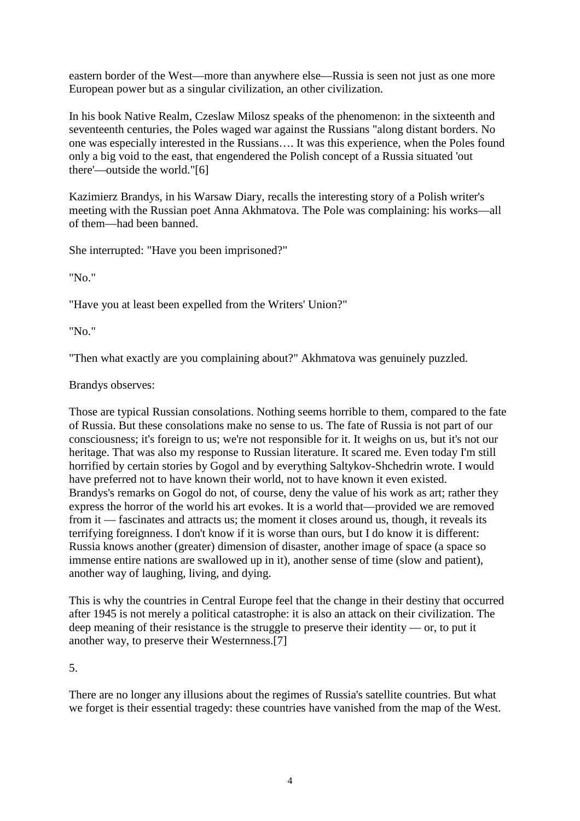eastern border of the West—more than anywhere else—Russia is seen not just as one more European power but as a singular civilization, an other civilization.

In his book Native Realm, Czeslaw Milosz speaks of the phenomenon: in the sixteenth and seventeenth centuries, the Poles waged war against the Russians "along distant borders. No one was especially interested in the Russians…. It was this experience, when the Poles found only a big void to the east, that engendered the Polish concept of a Russia situated 'out there'—outside the world."[6]

Kazimierz Brandys, in his Warsaw Diary, recalls the interesting story of a Polish writer's meeting with the Russian poet Anna Akhmatova. The Pole was complaining: his works—all of them—had been banned.

She interrupted: "Have you been imprisoned?"

"No."

"Have you at least been expelled from the Writers' Union?"

"No."

"Then what exactly are you complaining about?" Akhmatova was genuinely puzzled.

# Brandys observes:

Those are typical Russian consolations. Nothing seems horrible to them, compared to the fate of Russia. But these consolations make no sense to us. The fate of Russia is not part of our consciousness; it's foreign to us; we're not responsible for it. It weighs on us, but it's not our heritage. That was also my response to Russian literature. It scared me. Even today I'm still horrified by certain stories by Gogol and by everything Saltykov-Shchedrin wrote. I would have preferred not to have known their world, not to have known it even existed. Brandys's remarks on Gogol do not, of course, deny the value of his work as art; rather they express the horror of the world his art evokes. It is a world that—provided we are removed from it — fascinates and attracts us; the moment it closes around us, though, it reveals its terrifying foreignness. I don't know if it is worse than ours, but I do know it is different: Russia knows another (greater) dimension of disaster, another image of space (a space so immense entire nations are swallowed up in it), another sense of time (slow and patient), another way of laughing, living, and dying.

This is why the countries in Central Europe feel that the change in their destiny that occurred after 1945 is not merely a political catastrophe: it is also an attack on their civilization. The deep meaning of their resistance is the struggle to preserve their identity — or, to put it another way, to preserve their Westernness.[7]

# 5.

There are no longer any illusions about the regimes of Russia's satellite countries. But what we forget is their essential tragedy: these countries have vanished from the map of the West.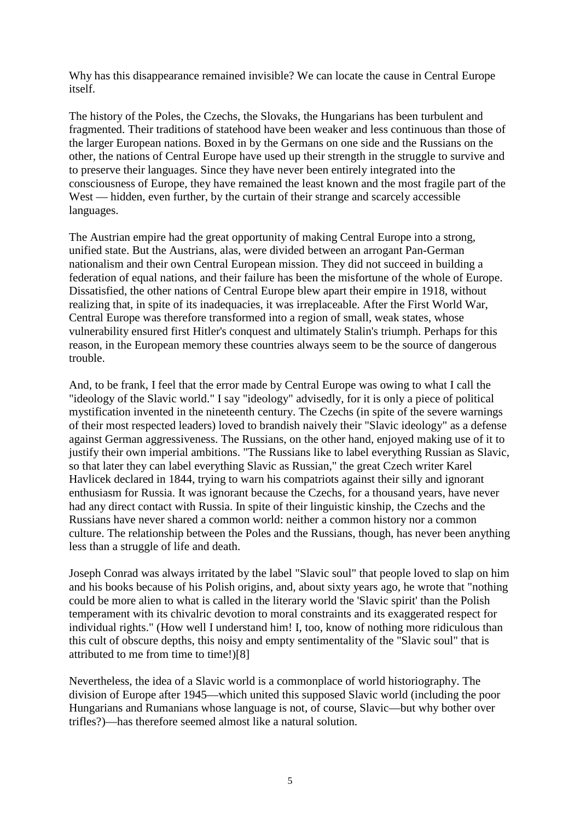Why has this disappearance remained invisible? We can locate the cause in Central Europe itself.

The history of the Poles, the Czechs, the Slovaks, the Hungarians has been turbulent and fragmented. Their traditions of statehood have been weaker and less continuous than those of the larger European nations. Boxed in by the Germans on one side and the Russians on the other, the nations of Central Europe have used up their strength in the struggle to survive and to preserve their languages. Since they have never been entirely integrated into the consciousness of Europe, they have remained the least known and the most fragile part of the West — hidden, even further, by the curtain of their strange and scarcely accessible languages.

The Austrian empire had the great opportunity of making Central Europe into a strong, unified state. But the Austrians, alas, were divided between an arrogant Pan-German nationalism and their own Central European mission. They did not succeed in building a federation of equal nations, and their failure has been the misfortune of the whole of Europe. Dissatisfied, the other nations of Central Europe blew apart their empire in 1918, without realizing that, in spite of its inadequacies, it was irreplaceable. After the First World War, Central Europe was therefore transformed into a region of small, weak states, whose vulnerability ensured first Hitler's conquest and ultimately Stalin's triumph. Perhaps for this reason, in the European memory these countries always seem to be the source of dangerous trouble.

And, to be frank, I feel that the error made by Central Europe was owing to what I call the "ideology of the Slavic world." I say "ideology" advisedly, for it is only a piece of political mystification invented in the nineteenth century. The Czechs (in spite of the severe warnings of their most respected leaders) loved to brandish naively their "Slavic ideology" as a defense against German aggressiveness. The Russians, on the other hand, enjoyed making use of it to justify their own imperial ambitions. "The Russians like to label everything Russian as Slavic, so that later they can label everything Slavic as Russian," the great Czech writer Karel Havlicek declared in 1844, trying to warn his compatriots against their silly and ignorant enthusiasm for Russia. It was ignorant because the Czechs, for a thousand years, have never had any direct contact with Russia. In spite of their linguistic kinship, the Czechs and the Russians have never shared a common world: neither a common history nor a common culture. The relationship between the Poles and the Russians, though, has never been anything less than a struggle of life and death.

Joseph Conrad was always irritated by the label "Slavic soul" that people loved to slap on him and his books because of his Polish origins, and, about sixty years ago, he wrote that "nothing could be more alien to what is called in the literary world the 'Slavic spirit' than the Polish temperament with its chivalric devotion to moral constraints and its exaggerated respect for individual rights." (How well I understand him! I, too, know of nothing more ridiculous than this cult of obscure depths, this noisy and empty sentimentality of the "Slavic soul" that is attributed to me from time to time!)[8]

Nevertheless, the idea of a Slavic world is a commonplace of world historiography. The division of Europe after 1945—which united this supposed Slavic world (including the poor Hungarians and Rumanians whose language is not, of course, Slavic—but why bother over trifles?)—has therefore seemed almost like a natural solution.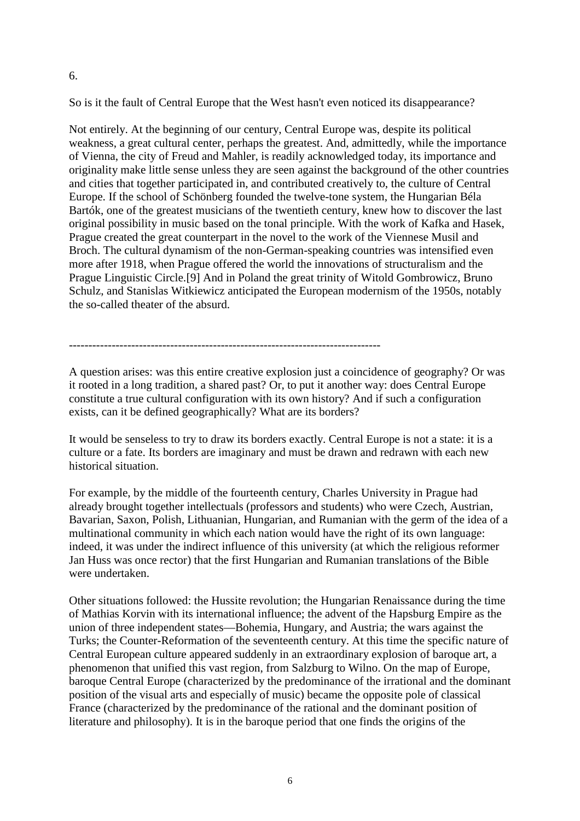So is it the fault of Central Europe that the West hasn't even noticed its disappearance?

Not entirely. At the beginning of our century, Central Europe was, despite its political weakness, a great cultural center, perhaps the greatest. And, admittedly, while the importance of Vienna, the city of Freud and Mahler, is readily acknowledged today, its importance and originality make little sense unless they are seen against the background of the other countries and cities that together participated in, and contributed creatively to, the culture of Central Europe. If the school of Schönberg founded the twelve-tone system, the Hungarian Béla Bartók, one of the greatest musicians of the twentieth century, knew how to discover the last original possibility in music based on the tonal principle. With the work of Kafka and Hasek, Prague created the great counterpart in the novel to the work of the Viennese Musil and Broch. The cultural dynamism of the non-German-speaking countries was intensified even more after 1918, when Prague offered the world the innovations of structuralism and the Prague Linguistic Circle.[9] And in Poland the great trinity of Witold Gombrowicz, Bruno Schulz, and Stanislas Witkiewicz anticipated the European modernism of the 1950s, notably the so-called theater of the absurd.

A question arises: was this entire creative explosion just a coincidence of geography? Or was it rooted in a long tradition, a shared past? Or, to put it another way: does Central Europe constitute a true cultural configuration with its own history? And if such a configuration exists, can it be defined geographically? What are its borders?

--------------------------------------------------------------------------------

It would be senseless to try to draw its borders exactly. Central Europe is not a state: it is a culture or a fate. Its borders are imaginary and must be drawn and redrawn with each new historical situation.

For example, by the middle of the fourteenth century, Charles University in Prague had already brought together intellectuals (professors and students) who were Czech, Austrian, Bavarian, Saxon, Polish, Lithuanian, Hungarian, and Rumanian with the germ of the idea of a multinational community in which each nation would have the right of its own language: indeed, it was under the indirect influence of this university (at which the religious reformer Jan Huss was once rector) that the first Hungarian and Rumanian translations of the Bible were undertaken.

Other situations followed: the Hussite revolution; the Hungarian Renaissance during the time of Mathias Korvin with its international influence; the advent of the Hapsburg Empire as the union of three independent states—Bohemia, Hungary, and Austria; the wars against the Turks; the Counter-Reformation of the seventeenth century. At this time the specific nature of Central European culture appeared suddenly in an extraordinary explosion of baroque art, a phenomenon that unified this vast region, from Salzburg to Wilno. On the map of Europe, baroque Central Europe (characterized by the predominance of the irrational and the dominant position of the visual arts and especially of music) became the opposite pole of classical France (characterized by the predominance of the rational and the dominant position of literature and philosophy). It is in the baroque period that one finds the origins of the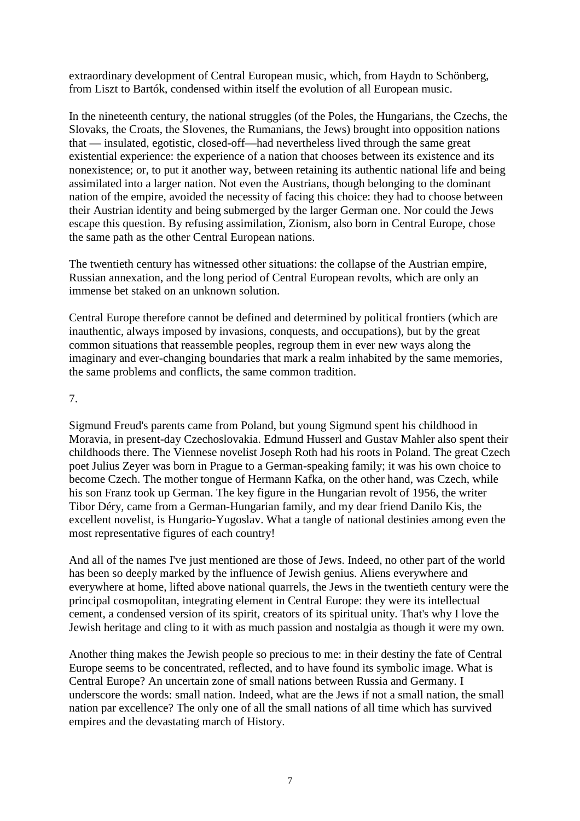extraordinary development of Central European music, which, from Haydn to Schönberg, from Liszt to Bartók, condensed within itself the evolution of all European music.

In the nineteenth century, the national struggles (of the Poles, the Hungarians, the Czechs, the Slovaks, the Croats, the Slovenes, the Rumanians, the Jews) brought into opposition nations that — insulated, egotistic, closed-off—had nevertheless lived through the same great existential experience: the experience of a nation that chooses between its existence and its nonexistence; or, to put it another way, between retaining its authentic national life and being assimilated into a larger nation. Not even the Austrians, though belonging to the dominant nation of the empire, avoided the necessity of facing this choice: they had to choose between their Austrian identity and being submerged by the larger German one. Nor could the Jews escape this question. By refusing assimilation, Zionism, also born in Central Europe, chose the same path as the other Central European nations.

The twentieth century has witnessed other situations: the collapse of the Austrian empire, Russian annexation, and the long period of Central European revolts, which are only an immense bet staked on an unknown solution.

Central Europe therefore cannot be defined and determined by political frontiers (which are inauthentic, always imposed by invasions, conquests, and occupations), but by the great common situations that reassemble peoples, regroup them in ever new ways along the imaginary and ever-changing boundaries that mark a realm inhabited by the same memories, the same problems and conflicts, the same common tradition.

## 7.

Sigmund Freud's parents came from Poland, but young Sigmund spent his childhood in Moravia, in present-day Czechoslovakia. Edmund Husserl and Gustav Mahler also spent their childhoods there. The Viennese novelist Joseph Roth had his roots in Poland. The great Czech poet Julius Zeyer was born in Prague to a German-speaking family; it was his own choice to become Czech. The mother tongue of Hermann Kafka, on the other hand, was Czech, while his son Franz took up German. The key figure in the Hungarian revolt of 1956, the writer Tibor Déry, came from a German-Hungarian family, and my dear friend Danilo Kis, the excellent novelist, is Hungario-Yugoslav. What a tangle of national destinies among even the most representative figures of each country!

And all of the names I've just mentioned are those of Jews. Indeed, no other part of the world has been so deeply marked by the influence of Jewish genius. Aliens everywhere and everywhere at home, lifted above national quarrels, the Jews in the twentieth century were the principal cosmopolitan, integrating element in Central Europe: they were its intellectual cement, a condensed version of its spirit, creators of its spiritual unity. That's why I love the Jewish heritage and cling to it with as much passion and nostalgia as though it were my own.

Another thing makes the Jewish people so precious to me: in their destiny the fate of Central Europe seems to be concentrated, reflected, and to have found its symbolic image. What is Central Europe? An uncertain zone of small nations between Russia and Germany. I underscore the words: small nation. Indeed, what are the Jews if not a small nation, the small nation par excellence? The only one of all the small nations of all time which has survived empires and the devastating march of History.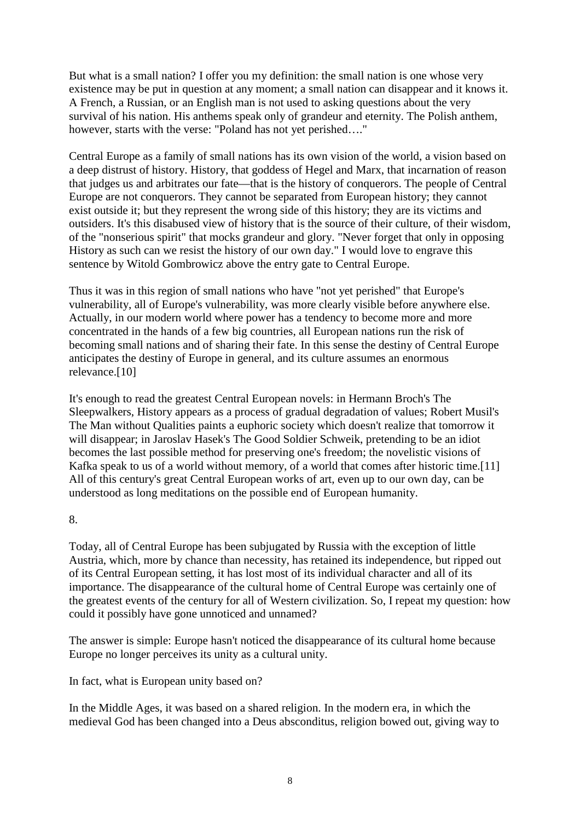But what is a small nation? I offer you my definition: the small nation is one whose very existence may be put in question at any moment; a small nation can disappear and it knows it. A French, a Russian, or an English man is not used to asking questions about the very survival of his nation. His anthems speak only of grandeur and eternity. The Polish anthem, however, starts with the verse: "Poland has not yet perished…."

Central Europe as a family of small nations has its own vision of the world, a vision based on a deep distrust of history. History, that goddess of Hegel and Marx, that incarnation of reason that judges us and arbitrates our fate—that is the history of conquerors. The people of Central Europe are not conquerors. They cannot be separated from European history; they cannot exist outside it; but they represent the wrong side of this history; they are its victims and outsiders. It's this disabused view of history that is the source of their culture, of their wisdom, of the "nonserious spirit" that mocks grandeur and glory. "Never forget that only in opposing History as such can we resist the history of our own day." I would love to engrave this sentence by Witold Gombrowicz above the entry gate to Central Europe.

Thus it was in this region of small nations who have "not yet perished" that Europe's vulnerability, all of Europe's vulnerability, was more clearly visible before anywhere else. Actually, in our modern world where power has a tendency to become more and more concentrated in the hands of a few big countries, all European nations run the risk of becoming small nations and of sharing their fate. In this sense the destiny of Central Europe anticipates the destiny of Europe in general, and its culture assumes an enormous relevance.[10]

It's enough to read the greatest Central European novels: in Hermann Broch's The Sleepwalkers, History appears as a process of gradual degradation of values; Robert Musil's The Man without Qualities paints a euphoric society which doesn't realize that tomorrow it will disappear; in Jaroslav Hasek's The Good Soldier Schweik, pretending to be an idiot becomes the last possible method for preserving one's freedom; the novelistic visions of Kafka speak to us of a world without memory, of a world that comes after historic time.[11] All of this century's great Central European works of art, even up to our own day, can be understood as long meditations on the possible end of European humanity.

#### 8.

Today, all of Central Europe has been subjugated by Russia with the exception of little Austria, which, more by chance than necessity, has retained its independence, but ripped out of its Central European setting, it has lost most of its individual character and all of its importance. The disappearance of the cultural home of Central Europe was certainly one of the greatest events of the century for all of Western civilization. So, I repeat my question: how could it possibly have gone unnoticed and unnamed?

The answer is simple: Europe hasn't noticed the disappearance of its cultural home because Europe no longer perceives its unity as a cultural unity.

In fact, what is European unity based on?

In the Middle Ages, it was based on a shared religion. In the modern era, in which the medieval God has been changed into a Deus absconditus, religion bowed out, giving way to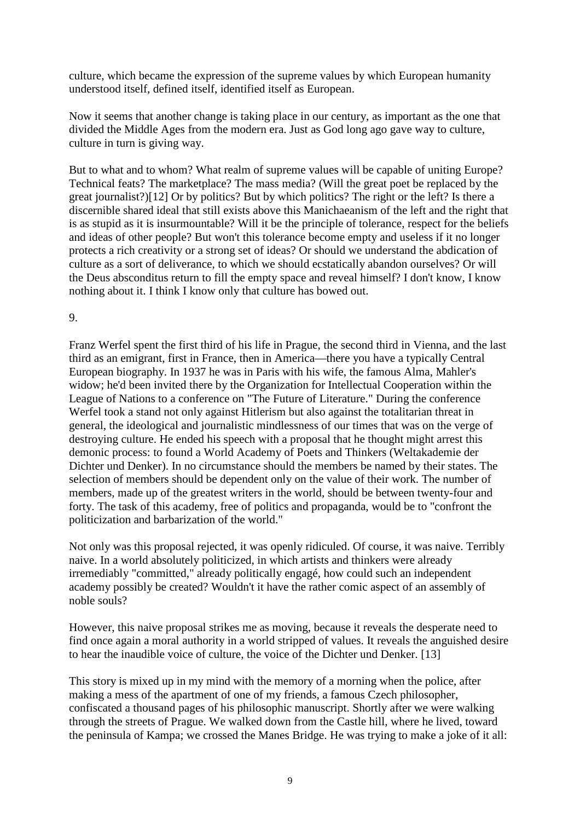culture, which became the expression of the supreme values by which European humanity understood itself, defined itself, identified itself as European.

Now it seems that another change is taking place in our century, as important as the one that divided the Middle Ages from the modern era. Just as God long ago gave way to culture, culture in turn is giving way.

But to what and to whom? What realm of supreme values will be capable of uniting Europe? Technical feats? The marketplace? The mass media? (Will the great poet be replaced by the great journalist?)[12] Or by politics? But by which politics? The right or the left? Is there a discernible shared ideal that still exists above this Manichaeanism of the left and the right that is as stupid as it is insurmountable? Will it be the principle of tolerance, respect for the beliefs and ideas of other people? But won't this tolerance become empty and useless if it no longer protects a rich creativity or a strong set of ideas? Or should we understand the abdication of culture as a sort of deliverance, to which we should ecstatically abandon ourselves? Or will the Deus absconditus return to fill the empty space and reveal himself? I don't know, I know nothing about it. I think I know only that culture has bowed out.

## 9.

Franz Werfel spent the first third of his life in Prague, the second third in Vienna, and the last third as an emigrant, first in France, then in America—there you have a typically Central European biography. In 1937 he was in Paris with his wife, the famous Alma, Mahler's widow; he'd been invited there by the Organization for Intellectual Cooperation within the League of Nations to a conference on "The Future of Literature." During the conference Werfel took a stand not only against Hitlerism but also against the totalitarian threat in general, the ideological and journalistic mindlessness of our times that was on the verge of destroying culture. He ended his speech with a proposal that he thought might arrest this demonic process: to found a World Academy of Poets and Thinkers (Weltakademie der Dichter und Denker). In no circumstance should the members be named by their states. The selection of members should be dependent only on the value of their work. The number of members, made up of the greatest writers in the world, should be between twenty-four and forty. The task of this academy, free of politics and propaganda, would be to "confront the politicization and barbarization of the world."

Not only was this proposal rejected, it was openly ridiculed. Of course, it was naive. Terribly naive. In a world absolutely politicized, in which artists and thinkers were already irremediably "committed," already politically engagé, how could such an independent academy possibly be created? Wouldn't it have the rather comic aspect of an assembly of noble souls?

However, this naive proposal strikes me as moving, because it reveals the desperate need to find once again a moral authority in a world stripped of values. It reveals the anguished desire to hear the inaudible voice of culture, the voice of the Dichter und Denker. [13]

This story is mixed up in my mind with the memory of a morning when the police, after making a mess of the apartment of one of my friends, a famous Czech philosopher, confiscated a thousand pages of his philosophic manuscript. Shortly after we were walking through the streets of Prague. We walked down from the Castle hill, where he lived, toward the peninsula of Kampa; we crossed the Manes Bridge. He was trying to make a joke of it all: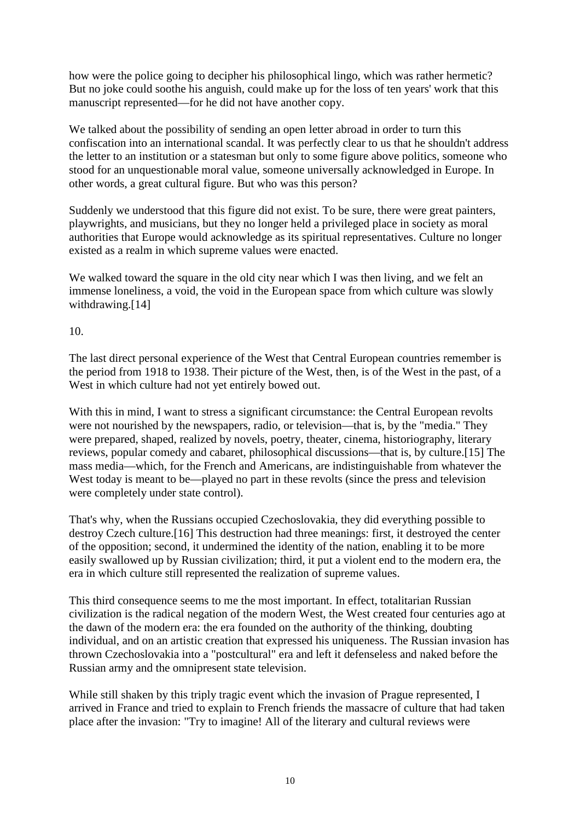how were the police going to decipher his philosophical lingo, which was rather hermetic? But no joke could soothe his anguish, could make up for the loss of ten years' work that this manuscript represented—for he did not have another copy.

We talked about the possibility of sending an open letter abroad in order to turn this confiscation into an international scandal. It was perfectly clear to us that he shouldn't address the letter to an institution or a statesman but only to some figure above politics, someone who stood for an unquestionable moral value, someone universally acknowledged in Europe. In other words, a great cultural figure. But who was this person?

Suddenly we understood that this figure did not exist. To be sure, there were great painters, playwrights, and musicians, but they no longer held a privileged place in society as moral authorities that Europe would acknowledge as its spiritual representatives. Culture no longer existed as a realm in which supreme values were enacted.

We walked toward the square in the old city near which I was then living, and we felt an immense loneliness, a void, the void in the European space from which culture was slowly withdrawing.<sup>[14]</sup>

## 10.

The last direct personal experience of the West that Central European countries remember is the period from 1918 to 1938. Their picture of the West, then, is of the West in the past, of a West in which culture had not yet entirely bowed out.

With this in mind, I want to stress a significant circumstance: the Central European revolts were not nourished by the newspapers, radio, or television—that is, by the "media." They were prepared, shaped, realized by novels, poetry, theater, cinema, historiography, literary reviews, popular comedy and cabaret, philosophical discussions—that is, by culture.[15] The mass media—which, for the French and Americans, are indistinguishable from whatever the West today is meant to be—played no part in these revolts (since the press and television were completely under state control).

That's why, when the Russians occupied Czechoslovakia, they did everything possible to destroy Czech culture.[16] This destruction had three meanings: first, it destroyed the center of the opposition; second, it undermined the identity of the nation, enabling it to be more easily swallowed up by Russian civilization; third, it put a violent end to the modern era, the era in which culture still represented the realization of supreme values.

This third consequence seems to me the most important. In effect, totalitarian Russian civilization is the radical negation of the modern West, the West created four centuries ago at the dawn of the modern era: the era founded on the authority of the thinking, doubting individual, and on an artistic creation that expressed his uniqueness. The Russian invasion has thrown Czechoslovakia into a "postcultural" era and left it defenseless and naked before the Russian army and the omnipresent state television.

While still shaken by this triply tragic event which the invasion of Prague represented, I arrived in France and tried to explain to French friends the massacre of culture that had taken place after the invasion: "Try to imagine! All of the literary and cultural reviews were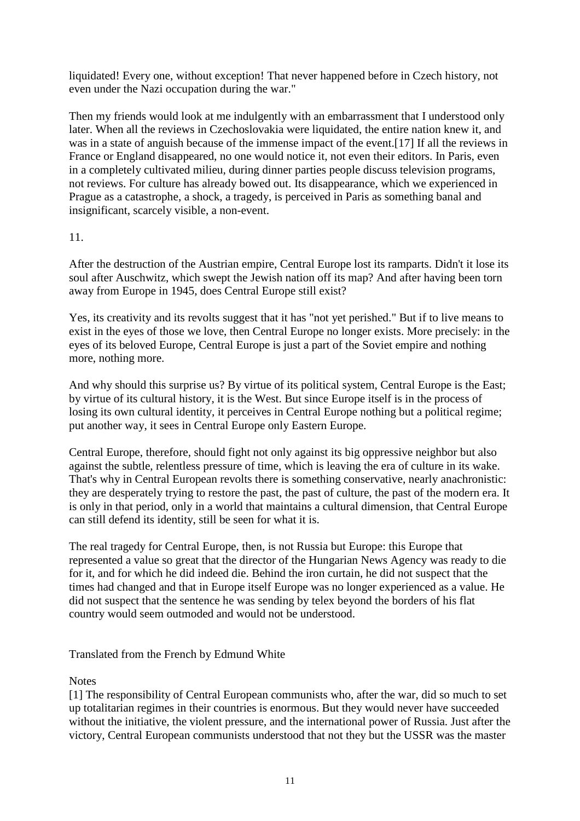liquidated! Every one, without exception! That never happened before in Czech history, not even under the Nazi occupation during the war."

Then my friends would look at me indulgently with an embarrassment that I understood only later. When all the reviews in Czechoslovakia were liquidated, the entire nation knew it, and was in a state of anguish because of the immense impact of the event.[17] If all the reviews in France or England disappeared, no one would notice it, not even their editors. In Paris, even in a completely cultivated milieu, during dinner parties people discuss television programs, not reviews. For culture has already bowed out. Its disappearance, which we experienced in Prague as a catastrophe, a shock, a tragedy, is perceived in Paris as something banal and insignificant, scarcely visible, a non-event.

## 11.

After the destruction of the Austrian empire, Central Europe lost its ramparts. Didn't it lose its soul after Auschwitz, which swept the Jewish nation off its map? And after having been torn away from Europe in 1945, does Central Europe still exist?

Yes, its creativity and its revolts suggest that it has "not yet perished." But if to live means to exist in the eyes of those we love, then Central Europe no longer exists. More precisely: in the eyes of its beloved Europe, Central Europe is just a part of the Soviet empire and nothing more, nothing more.

And why should this surprise us? By virtue of its political system, Central Europe is the East; by virtue of its cultural history, it is the West. But since Europe itself is in the process of losing its own cultural identity, it perceives in Central Europe nothing but a political regime; put another way, it sees in Central Europe only Eastern Europe.

Central Europe, therefore, should fight not only against its big oppressive neighbor but also against the subtle, relentless pressure of time, which is leaving the era of culture in its wake. That's why in Central European revolts there is something conservative, nearly anachronistic: they are desperately trying to restore the past, the past of culture, the past of the modern era. It is only in that period, only in a world that maintains a cultural dimension, that Central Europe can still defend its identity, still be seen for what it is.

The real tragedy for Central Europe, then, is not Russia but Europe: this Europe that represented a value so great that the director of the Hungarian News Agency was ready to die for it, and for which he did indeed die. Behind the iron curtain, he did not suspect that the times had changed and that in Europe itself Europe was no longer experienced as a value. He did not suspect that the sentence he was sending by telex beyond the borders of his flat country would seem outmoded and would not be understood.

Translated from the French by Edmund White

#### **Notes**

[1] The responsibility of Central European communists who, after the war, did so much to set up totalitarian regimes in their countries is enormous. But they would never have succeeded without the initiative, the violent pressure, and the international power of Russia. Just after the victory, Central European communists understood that not they but the USSR was the master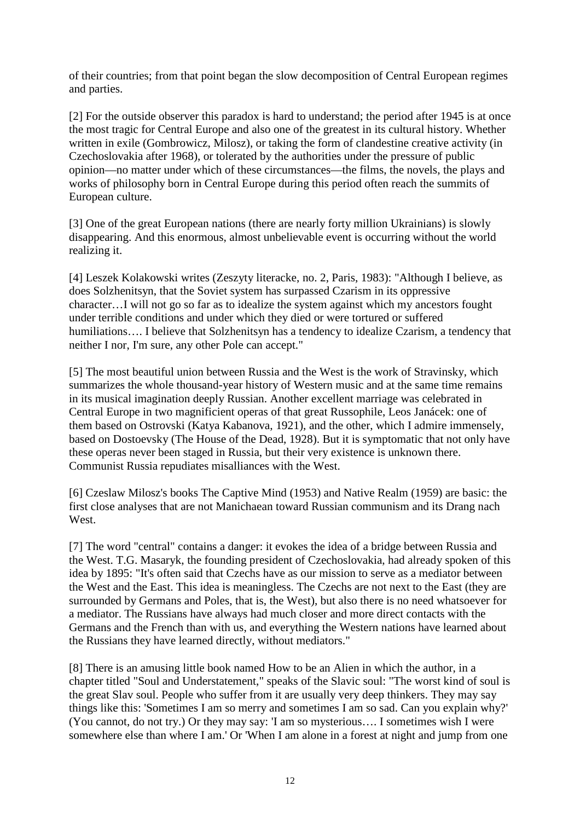of their countries; from that point began the slow decomposition of Central European regimes and parties.

[2] For the outside observer this paradox is hard to understand; the period after 1945 is at once the most tragic for Central Europe and also one of the greatest in its cultural history. Whether written in exile (Gombrowicz, Milosz), or taking the form of clandestine creative activity (in Czechoslovakia after 1968), or tolerated by the authorities under the pressure of public opinion—no matter under which of these circumstances—the films, the novels, the plays and works of philosophy born in Central Europe during this period often reach the summits of European culture.

[3] One of the great European nations (there are nearly forty million Ukrainians) is slowly disappearing. And this enormous, almost unbelievable event is occurring without the world realizing it.

[4] Leszek Kolakowski writes (Zeszyty literacke, no. 2, Paris, 1983): "Although I believe, as does Solzhenitsyn, that the Soviet system has surpassed Czarism in its oppressive character…I will not go so far as to idealize the system against which my ancestors fought under terrible conditions and under which they died or were tortured or suffered humiliations.... I believe that Solzhenitsyn has a tendency to idealize Czarism, a tendency that neither I nor, I'm sure, any other Pole can accept."

[5] The most beautiful union between Russia and the West is the work of Stravinsky, which summarizes the whole thousand-year history of Western music and at the same time remains in its musical imagination deeply Russian. Another excellent marriage was celebrated in Central Europe in two magnificient operas of that great Russophile, Leos Janácek: one of them based on Ostrovski (Katya Kabanova, 1921), and the other, which I admire immensely, based on Dostoevsky (The House of the Dead, 1928). But it is symptomatic that not only have these operas never been staged in Russia, but their very existence is unknown there. Communist Russia repudiates misalliances with the West.

[6] Czeslaw Milosz's books The Captive Mind (1953) and Native Realm (1959) are basic: the first close analyses that are not Manichaean toward Russian communism and its Drang nach West.

[7] The word "central" contains a danger: it evokes the idea of a bridge between Russia and the West. T.G. Masaryk, the founding president of Czechoslovakia, had already spoken of this idea by 1895: "It's often said that Czechs have as our mission to serve as a mediator between the West and the East. This idea is meaningless. The Czechs are not next to the East (they are surrounded by Germans and Poles, that is, the West), but also there is no need whatsoever for a mediator. The Russians have always had much closer and more direct contacts with the Germans and the French than with us, and everything the Western nations have learned about the Russians they have learned directly, without mediators."

[8] There is an amusing little book named How to be an Alien in which the author, in a chapter titled "Soul and Understatement," speaks of the Slavic soul: "The worst kind of soul is the great Slav soul. People who suffer from it are usually very deep thinkers. They may say things like this: 'Sometimes I am so merry and sometimes I am so sad. Can you explain why?' (You cannot, do not try.) Or they may say: 'I am so mysterious…. I sometimes wish I were somewhere else than where I am.' Or 'When I am alone in a forest at night and jump from one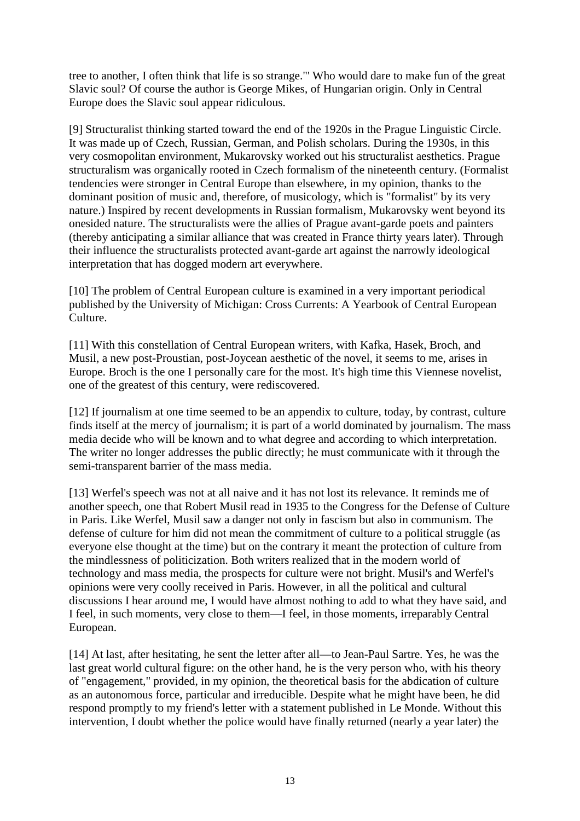tree to another, I often think that life is so strange."' Who would dare to make fun of the great Slavic soul? Of course the author is George Mikes, of Hungarian origin. Only in Central Europe does the Slavic soul appear ridiculous.

[9] Structuralist thinking started toward the end of the 1920s in the Prague Linguistic Circle. It was made up of Czech, Russian, German, and Polish scholars. During the 1930s, in this very cosmopolitan environment, Mukarovsky worked out his structuralist aesthetics. Prague structuralism was organically rooted in Czech formalism of the nineteenth century. (Formalist tendencies were stronger in Central Europe than elsewhere, in my opinion, thanks to the dominant position of music and, therefore, of musicology, which is "formalist" by its very nature.) Inspired by recent developments in Russian formalism, Mukarovsky went beyond its onesided nature. The structuralists were the allies of Prague avant-garde poets and painters (thereby anticipating a similar alliance that was created in France thirty years later). Through their influence the structuralists protected avant-garde art against the narrowly ideological interpretation that has dogged modern art everywhere.

[10] The problem of Central European culture is examined in a very important periodical published by the University of Michigan: Cross Currents: A Yearbook of Central European Culture.

[11] With this constellation of Central European writers, with Kafka, Hasek, Broch, and Musil, a new post-Proustian, post-Joycean aesthetic of the novel, it seems to me, arises in Europe. Broch is the one I personally care for the most. It's high time this Viennese novelist, one of the greatest of this century, were rediscovered.

[12] If journalism at one time seemed to be an appendix to culture, today, by contrast, culture finds itself at the mercy of journalism; it is part of a world dominated by journalism. The mass media decide who will be known and to what degree and according to which interpretation. The writer no longer addresses the public directly; he must communicate with it through the semi-transparent barrier of the mass media.

[13] Werfel's speech was not at all naive and it has not lost its relevance. It reminds me of another speech, one that Robert Musil read in 1935 to the Congress for the Defense of Culture in Paris. Like Werfel, Musil saw a danger not only in fascism but also in communism. The defense of culture for him did not mean the commitment of culture to a political struggle (as everyone else thought at the time) but on the contrary it meant the protection of culture from the mindlessness of politicization. Both writers realized that in the modern world of technology and mass media, the prospects for culture were not bright. Musil's and Werfel's opinions were very coolly received in Paris. However, in all the political and cultural discussions I hear around me, I would have almost nothing to add to what they have said, and I feel, in such moments, very close to them—I feel, in those moments, irreparably Central European.

[14] At last, after hesitating, he sent the letter after all—to Jean-Paul Sartre. Yes, he was the last great world cultural figure: on the other hand, he is the very person who, with his theory of "engagement," provided, in my opinion, the theoretical basis for the abdication of culture as an autonomous force, particular and irreducible. Despite what he might have been, he did respond promptly to my friend's letter with a statement published in Le Monde. Without this intervention, I doubt whether the police would have finally returned (nearly a year later) the